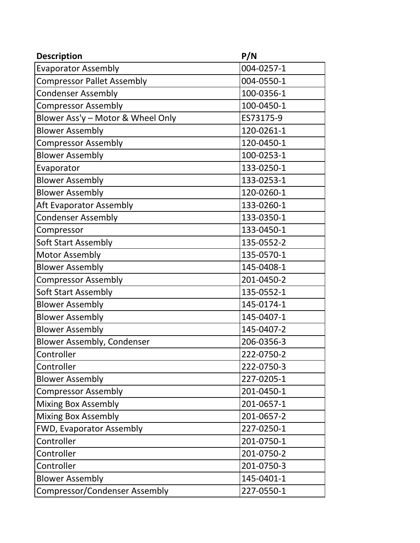| <b>Description</b>                | P/N        |
|-----------------------------------|------------|
| <b>Evaporator Assembly</b>        | 004-0257-1 |
| <b>Compressor Pallet Assembly</b> | 004-0550-1 |
| <b>Condenser Assembly</b>         | 100-0356-1 |
| <b>Compressor Assembly</b>        | 100-0450-1 |
| Blower Ass'y - Motor & Wheel Only | ES73175-9  |
| <b>Blower Assembly</b>            | 120-0261-1 |
| <b>Compressor Assembly</b>        | 120-0450-1 |
| <b>Blower Assembly</b>            | 100-0253-1 |
| Evaporator                        | 133-0250-1 |
| <b>Blower Assembly</b>            | 133-0253-1 |
| <b>Blower Assembly</b>            | 120-0260-1 |
| Aft Evaporator Assembly           | 133-0260-1 |
| <b>Condenser Assembly</b>         | 133-0350-1 |
| Compressor                        | 133-0450-1 |
| <b>Soft Start Assembly</b>        | 135-0552-2 |
| <b>Motor Assembly</b>             | 135-0570-1 |
| <b>Blower Assembly</b>            | 145-0408-1 |
| <b>Compressor Assembly</b>        | 201-0450-2 |
| <b>Soft Start Assembly</b>        | 135-0552-1 |
| <b>Blower Assembly</b>            | 145-0174-1 |
| <b>Blower Assembly</b>            | 145-0407-1 |
| <b>Blower Assembly</b>            | 145-0407-2 |
| <b>Blower Assembly, Condenser</b> | 206-0356-3 |
| Controller                        | 222-0750-2 |
| Controller                        | 222-0750-3 |
| <b>Blower Assembly</b>            | 227-0205-1 |
| <b>Compressor Assembly</b>        | 201-0450-1 |
| <b>Mixing Box Assembly</b>        | 201-0657-1 |
| <b>Mixing Box Assembly</b>        | 201-0657-2 |
| <b>FWD, Evaporator Assembly</b>   | 227-0250-1 |
| Controller                        | 201-0750-1 |
| Controller                        | 201-0750-2 |
| Controller                        | 201-0750-3 |
| <b>Blower Assembly</b>            | 145-0401-1 |
| Compressor/Condenser Assembly     | 227-0550-1 |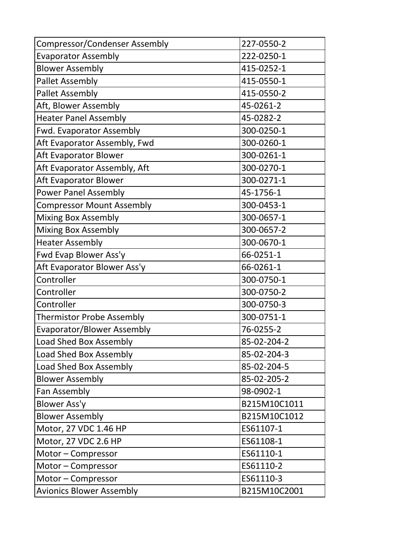| <b>Compressor/Condenser Assembly</b> | 227-0550-2   |
|--------------------------------------|--------------|
| <b>Evaporator Assembly</b>           | 222-0250-1   |
| <b>Blower Assembly</b>               | 415-0252-1   |
| <b>Pallet Assembly</b>               | 415-0550-1   |
| <b>Pallet Assembly</b>               | 415-0550-2   |
| Aft, Blower Assembly                 | 45-0261-2    |
| <b>Heater Panel Assembly</b>         | 45-0282-2    |
| <b>Fwd. Evaporator Assembly</b>      | 300-0250-1   |
| Aft Evaporator Assembly, Fwd         | 300-0260-1   |
| Aft Evaporator Blower                | 300-0261-1   |
| Aft Evaporator Assembly, Aft         | 300-0270-1   |
| Aft Evaporator Blower                | 300-0271-1   |
| <b>Power Panel Assembly</b>          | 45-1756-1    |
| <b>Compressor Mount Assembly</b>     | 300-0453-1   |
| <b>Mixing Box Assembly</b>           | 300-0657-1   |
| <b>Mixing Box Assembly</b>           | 300-0657-2   |
| <b>Heater Assembly</b>               | 300-0670-1   |
| Fwd Evap Blower Ass'y                | 66-0251-1    |
| Aft Evaporator Blower Ass'y          | 66-0261-1    |
| Controller                           | 300-0750-1   |
| Controller                           | 300-0750-2   |
| Controller                           | 300-0750-3   |
| <b>Thermistor Probe Assembly</b>     | 300-0751-1   |
| <b>Evaporator/Blower Assembly</b>    | 76-0255-2    |
| Load Shed Box Assembly               | 85-02-204-2  |
| Load Shed Box Assembly               | 85-02-204-3  |
| Load Shed Box Assembly               | 85-02-204-5  |
| <b>Blower Assembly</b>               | 85-02-205-2  |
| Fan Assembly                         | 98-0902-1    |
| <b>Blower Ass'y</b>                  | B215M10C1011 |
| <b>Blower Assembly</b>               | B215M10C1012 |
| Motor, 27 VDC 1.46 HP                | ES61107-1    |
| Motor, 27 VDC 2.6 HP                 | ES61108-1    |
| Motor - Compressor                   | ES61110-1    |
| Motor - Compressor                   | ES61110-2    |
| Motor - Compressor                   | ES61110-3    |
| <b>Avionics Blower Assembly</b>      | B215M10C2001 |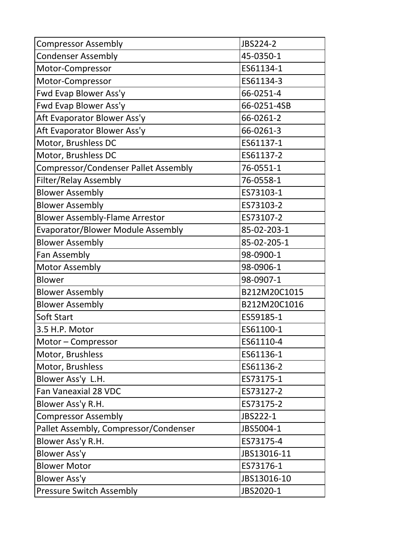| <b>Compressor Assembly</b>               | JBS224-2     |
|------------------------------------------|--------------|
| <b>Condenser Assembly</b>                | 45-0350-1    |
| Motor-Compressor                         | ES61134-1    |
| Motor-Compressor                         | ES61134-3    |
| Fwd Evap Blower Ass'y                    | 66-0251-4    |
| Fwd Evap Blower Ass'y                    | 66-0251-4SB  |
| Aft Evaporator Blower Ass'y              | 66-0261-2    |
| Aft Evaporator Blower Ass'y              | 66-0261-3    |
| Motor, Brushless DC                      | ES61137-1    |
| Motor, Brushless DC                      | ES61137-2    |
| Compressor/Condenser Pallet Assembly     | 76-0551-1    |
| Filter/Relay Assembly                    | 76-0558-1    |
| <b>Blower Assembly</b>                   | ES73103-1    |
| <b>Blower Assembly</b>                   | ES73103-2    |
| <b>Blower Assembly-Flame Arrestor</b>    | ES73107-2    |
| <b>Evaporator/Blower Module Assembly</b> | 85-02-203-1  |
| <b>Blower Assembly</b>                   | 85-02-205-1  |
| <b>Fan Assembly</b>                      | 98-0900-1    |
| <b>Motor Assembly</b>                    | 98-0906-1    |
| <b>Blower</b>                            | 98-0907-1    |
| <b>Blower Assembly</b>                   | B212M20C1015 |
| <b>Blower Assembly</b>                   | B212M20C1016 |
| Soft Start                               | ES59185-1    |
| 3.5 H.P. Motor                           | ES61100-1    |
| Motor - Compressor                       | ES61110-4    |
| Motor, Brushless                         | ES61136-1    |
| Motor, Brushless                         | ES61136-2    |
| Blower Ass'y L.H.                        | ES73175-1    |
| Fan Vaneaxial 28 VDC                     | ES73127-2    |
| Blower Ass'y R.H.                        | ES73175-2    |
| <b>Compressor Assembly</b>               | JBS222-1     |
| Pallet Assembly, Compressor/Condenser    | JBS5004-1    |
| Blower Ass'y R.H.                        | ES73175-4    |
| <b>Blower Ass'y</b>                      | JBS13016-11  |
| <b>Blower Motor</b>                      | ES73176-1    |
| <b>Blower Ass'y</b>                      | JBS13016-10  |
| <b>Pressure Switch Assembly</b>          | JBS2020-1    |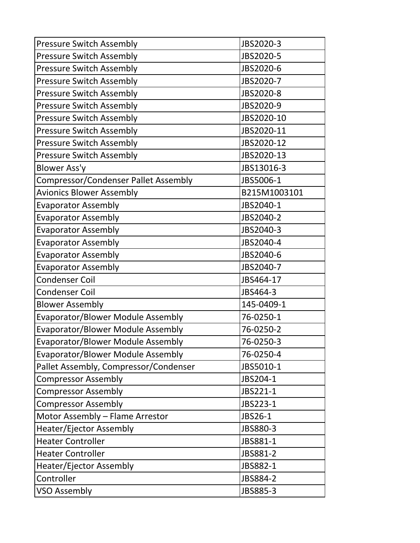| <b>Pressure Switch Assembly</b>          | JBS2020-3    |
|------------------------------------------|--------------|
| <b>Pressure Switch Assembly</b>          | JBS2020-5    |
| <b>Pressure Switch Assembly</b>          | JBS2020-6    |
| <b>Pressure Switch Assembly</b>          | JBS2020-7    |
| <b>Pressure Switch Assembly</b>          | JBS2020-8    |
| <b>Pressure Switch Assembly</b>          | JBS2020-9    |
| <b>Pressure Switch Assembly</b>          | JBS2020-10   |
| <b>Pressure Switch Assembly</b>          | JBS2020-11   |
| <b>Pressure Switch Assembly</b>          | JBS2020-12   |
| <b>Pressure Switch Assembly</b>          | JBS2020-13   |
| <b>Blower Ass'y</b>                      | JBS13016-3   |
| Compressor/Condenser Pallet Assembly     | JBS5006-1    |
| <b>Avionics Blower Assembly</b>          | B215M1003101 |
| <b>Evaporator Assembly</b>               | JBS2040-1    |
| <b>Evaporator Assembly</b>               | JBS2040-2    |
| <b>Evaporator Assembly</b>               | JBS2040-3    |
| <b>Evaporator Assembly</b>               | JBS2040-4    |
| <b>Evaporator Assembly</b>               | JBS2040-6    |
| <b>Evaporator Assembly</b>               | JBS2040-7    |
| <b>Condenser Coil</b>                    | JBS464-17    |
| <b>Condenser Coil</b>                    | JBS464-3     |
| <b>Blower Assembly</b>                   | 145-0409-1   |
| <b>Evaporator/Blower Module Assembly</b> | 76-0250-1    |
| <b>Evaporator/Blower Module Assembly</b> | 76-0250-2    |
| <b>Evaporator/Blower Module Assembly</b> | 76-0250-3    |
| <b>Evaporator/Blower Module Assembly</b> | 76-0250-4    |
| Pallet Assembly, Compressor/Condenser    | JBS5010-1    |
| <b>Compressor Assembly</b>               | JBS204-1     |
| <b>Compressor Assembly</b>               | JBS221-1     |
| <b>Compressor Assembly</b>               | JBS223-1     |
| Motor Assembly - Flame Arrestor          | JBS26-1      |
| Heater/Ejector Assembly                  | JBS880-3     |
| <b>Heater Controller</b>                 | JBS881-1     |
| <b>Heater Controller</b>                 | JBS881-2     |
| Heater/Ejector Assembly                  | JBS882-1     |
| Controller                               | JBS884-2     |
| <b>VSO Assembly</b>                      | JBS885-3     |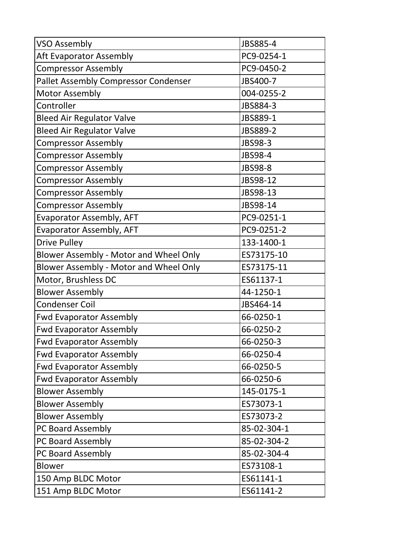| <b>VSO Assembly</b>                         | JBS885-4       |
|---------------------------------------------|----------------|
| Aft Evaporator Assembly                     | PC9-0254-1     |
| <b>Compressor Assembly</b>                  | PC9-0450-2     |
| <b>Pallet Assembly Compressor Condenser</b> | JBS400-7       |
| <b>Motor Assembly</b>                       | 004-0255-2     |
| Controller                                  | JBS884-3       |
| <b>Bleed Air Regulator Valve</b>            | JBS889-1       |
| <b>Bleed Air Regulator Valve</b>            | JBS889-2       |
| <b>Compressor Assembly</b>                  | <b>JBS98-3</b> |
| <b>Compressor Assembly</b>                  | <b>JBS98-4</b> |
| <b>Compressor Assembly</b>                  | <b>JBS98-8</b> |
| <b>Compressor Assembly</b>                  | JBS98-12       |
| <b>Compressor Assembly</b>                  | JBS98-13       |
| <b>Compressor Assembly</b>                  | JBS98-14       |
| Evaporator Assembly, AFT                    | PC9-0251-1     |
| Evaporator Assembly, AFT                    | PC9-0251-2     |
| <b>Drive Pulley</b>                         | 133-1400-1     |
| Blower Assembly - Motor and Wheel Only      | ES73175-10     |
| Blower Assembly - Motor and Wheel Only      | ES73175-11     |
| Motor, Brushless DC                         | ES61137-1      |
| <b>Blower Assembly</b>                      | 44-1250-1      |
| <b>Condenser Coil</b>                       | JBS464-14      |
| <b>Fwd Evaporator Assembly</b>              | 66-0250-1      |
| <b>Fwd Evaporator Assembly</b>              | 66-0250-2      |
| <b>Fwd Evaporator Assembly</b>              | 66-0250-3      |
| <b>Fwd Evaporator Assembly</b>              | 66-0250-4      |
| <b>Fwd Evaporator Assembly</b>              | 66-0250-5      |
| <b>Fwd Evaporator Assembly</b>              | 66-0250-6      |
| <b>Blower Assembly</b>                      | 145-0175-1     |
| <b>Blower Assembly</b>                      | ES73073-1      |
| <b>Blower Assembly</b>                      | ES73073-2      |
| PC Board Assembly                           | 85-02-304-1    |
| PC Board Assembly                           | 85-02-304-2    |
| PC Board Assembly                           | 85-02-304-4    |
| <b>Blower</b>                               | ES73108-1      |
| 150 Amp BLDC Motor                          | ES61141-1      |
| 151 Amp BLDC Motor                          | ES61141-2      |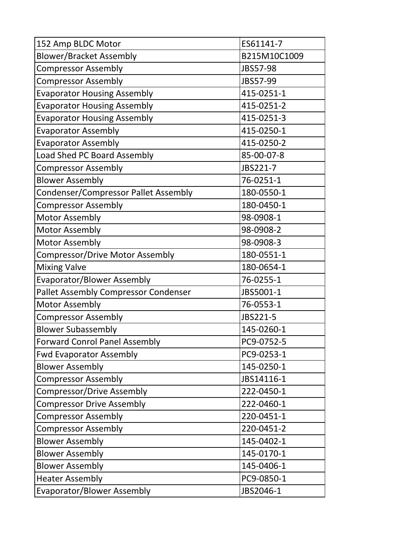| 152 Amp BLDC Motor                          | ES61141-7       |
|---------------------------------------------|-----------------|
| <b>Blower/Bracket Assembly</b>              | B215M10C1009    |
| <b>Compressor Assembly</b>                  | <b>JBS57-98</b> |
| <b>Compressor Assembly</b>                  | JBS57-99        |
| <b>Evaporator Housing Assembly</b>          | 415-0251-1      |
| <b>Evaporator Housing Assembly</b>          | 415-0251-2      |
| <b>Evaporator Housing Assembly</b>          | 415-0251-3      |
| <b>Evaporator Assembly</b>                  | 415-0250-1      |
| <b>Evaporator Assembly</b>                  | 415-0250-2      |
| Load Shed PC Board Assembly                 | 85-00-07-8      |
| <b>Compressor Assembly</b>                  | JBS221-7        |
| <b>Blower Assembly</b>                      | 76-0251-1       |
| <b>Condenser/Compressor Pallet Assembly</b> | 180-0550-1      |
| <b>Compressor Assembly</b>                  | 180-0450-1      |
| Motor Assembly                              | 98-0908-1       |
| <b>Motor Assembly</b>                       | 98-0908-2       |
| <b>Motor Assembly</b>                       | 98-0908-3       |
| <b>Compressor/Drive Motor Assembly</b>      | 180-0551-1      |
| <b>Mixing Valve</b>                         | 180-0654-1      |
| <b>Evaporator/Blower Assembly</b>           | 76-0255-1       |
| <b>Pallet Assembly Compressor Condenser</b> | JBS5001-1       |
| <b>Motor Assembly</b>                       | 76-0553-1       |
| <b>Compressor Assembly</b>                  | JBS221-5        |
| <b>Blower Subassembly</b>                   | 145-0260-1      |
| <b>Forward Conrol Panel Assembly</b>        | PC9-0752-5      |
| <b>Fwd Evaporator Assembly</b>              | PC9-0253-1      |
| <b>Blower Assembly</b>                      | 145-0250-1      |
| <b>Compressor Assembly</b>                  | JBS14116-1      |
| <b>Compressor/Drive Assembly</b>            | 222-0450-1      |
| <b>Compressor Drive Assembly</b>            | 222-0460-1      |
| <b>Compressor Assembly</b>                  | 220-0451-1      |
| <b>Compressor Assembly</b>                  | 220-0451-2      |
| <b>Blower Assembly</b>                      | 145-0402-1      |
| <b>Blower Assembly</b>                      | 145-0170-1      |
| <b>Blower Assembly</b>                      | 145-0406-1      |
| <b>Heater Assembly</b>                      | PC9-0850-1      |
| <b>Evaporator/Blower Assembly</b>           | JBS2046-1       |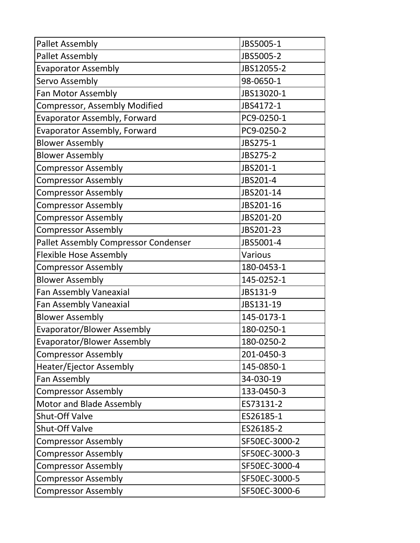| <b>Pallet Assembly</b>                      | JBS5005-1     |
|---------------------------------------------|---------------|
| <b>Pallet Assembly</b>                      | JBS5005-2     |
| <b>Evaporator Assembly</b>                  | JBS12055-2    |
| Servo Assembly                              | 98-0650-1     |
| Fan Motor Assembly                          | JBS13020-1    |
| Compressor, Assembly Modified               | JBS4172-1     |
| <b>Evaporator Assembly, Forward</b>         | PC9-0250-1    |
| <b>Evaporator Assembly, Forward</b>         | PC9-0250-2    |
| <b>Blower Assembly</b>                      | JBS275-1      |
| <b>Blower Assembly</b>                      | JBS275-2      |
| <b>Compressor Assembly</b>                  | JBS201-1      |
| <b>Compressor Assembly</b>                  | JBS201-4      |
| <b>Compressor Assembly</b>                  | JBS201-14     |
| <b>Compressor Assembly</b>                  | JBS201-16     |
| <b>Compressor Assembly</b>                  | JBS201-20     |
| <b>Compressor Assembly</b>                  | JBS201-23     |
| <b>Pallet Assembly Compressor Condenser</b> | JBS5001-4     |
| <b>Flexible Hose Assembly</b>               | Various       |
| <b>Compressor Assembly</b>                  | 180-0453-1    |
| <b>Blower Assembly</b>                      | 145-0252-1    |
| Fan Assembly Vaneaxial                      | JBS131-9      |
| <b>Fan Assembly Vaneaxial</b>               | JBS131-19     |
| <b>Blower Assembly</b>                      | 145-0173-1    |
| <b>Evaporator/Blower Assembly</b>           | 180-0250-1    |
| Evaporator/Blower Assembly                  | 180-0250-2    |
| <b>Compressor Assembly</b>                  | 201-0450-3    |
| <b>Heater/Ejector Assembly</b>              | 145-0850-1    |
| Fan Assembly                                | 34-030-19     |
| <b>Compressor Assembly</b>                  | 133-0450-3    |
| Motor and Blade Assembly                    | ES73131-2     |
| <b>Shut-Off Valve</b>                       | ES26185-1     |
| <b>Shut-Off Valve</b>                       | ES26185-2     |
| <b>Compressor Assembly</b>                  | SF50EC-3000-2 |
| <b>Compressor Assembly</b>                  | SF50EC-3000-3 |
| <b>Compressor Assembly</b>                  | SF50EC-3000-4 |
| <b>Compressor Assembly</b>                  | SF50EC-3000-5 |
| <b>Compressor Assembly</b>                  | SF50EC-3000-6 |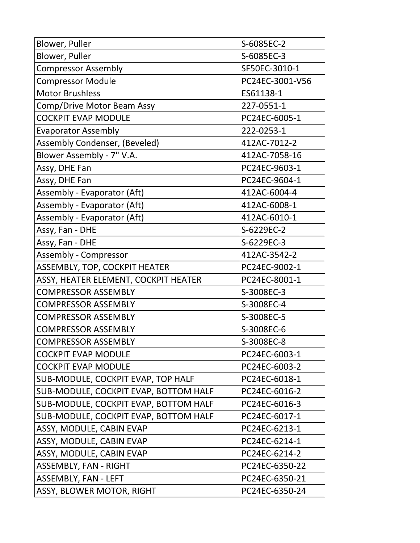| Blower, Puller                        | S-6085EC-2      |
|---------------------------------------|-----------------|
| Blower, Puller                        | S-6085EC-3      |
| <b>Compressor Assembly</b>            | SF50EC-3010-1   |
| <b>Compressor Module</b>              | PC24EC-3001-V56 |
| <b>Motor Brushless</b>                | ES61138-1       |
| Comp/Drive Motor Beam Assy            | 227-0551-1      |
| <b>COCKPIT EVAP MODULE</b>            | PC24EC-6005-1   |
| <b>Evaporator Assembly</b>            | 222-0253-1      |
| Assembly Condenser, (Beveled)         | 412AC-7012-2    |
| Blower Assembly - 7" V.A.             | 412AC-7058-16   |
| Assy, DHE Fan                         | PC24EC-9603-1   |
| Assy, DHE Fan                         | PC24EC-9604-1   |
| Assembly - Evaporator (Aft)           | 412AC-6004-4    |
| Assembly - Evaporator (Aft)           | 412AC-6008-1    |
| Assembly - Evaporator (Aft)           | 412AC-6010-1    |
| Assy, Fan - DHE                       | S-6229EC-2      |
| Assy, Fan - DHE                       | S-6229EC-3      |
| Assembly - Compressor                 | 412AC-3542-2    |
| ASSEMBLY, TOP, COCKPIT HEATER         | PC24EC-9002-1   |
| ASSY, HEATER ELEMENT, COCKPIT HEATER  | PC24EC-8001-1   |
| <b>COMPRESSOR ASSEMBLY</b>            | S-3008EC-3      |
| <b>COMPRESSOR ASSEMBLY</b>            | S-3008EC-4      |
| <b>COMPRESSOR ASSEMBLY</b>            | S-3008EC-5      |
| <b>COMPRESSOR ASSEMBLY</b>            | S-3008EC-6      |
| <b>COMPRESSOR ASSEMBLY</b>            | S-3008EC-8      |
| <b>COCKPIT EVAP MODULE</b>            | PC24EC-6003-1   |
| <b>COCKPIT EVAP MODULE</b>            | PC24EC-6003-2   |
| SUB-MODULE, COCKPIT EVAP, TOP HALF    | PC24EC-6018-1   |
| SUB-MODULE, COCKPIT EVAP, BOTTOM HALF | PC24EC-6016-2   |
| SUB-MODULE, COCKPIT EVAP, BOTTOM HALF | PC24EC-6016-3   |
| SUB-MODULE, COCKPIT EVAP, BOTTOM HALF | PC24EC-6017-1   |
| ASSY, MODULE, CABIN EVAP              | PC24EC-6213-1   |
| ASSY, MODULE, CABIN EVAP              | PC24EC-6214-1   |
| ASSY, MODULE, CABIN EVAP              | PC24EC-6214-2   |
| <b>ASSEMBLY, FAN - RIGHT</b>          | PC24EC-6350-22  |
| <b>ASSEMBLY, FAN - LEFT</b>           | PC24EC-6350-21  |
| ASSY, BLOWER MOTOR, RIGHT             | PC24EC-6350-24  |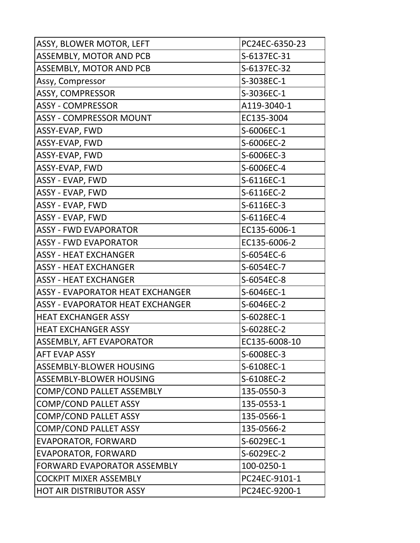| ASSY, BLOWER MOTOR, LEFT                | PC24EC-6350-23 |
|-----------------------------------------|----------------|
| <b>ASSEMBLY, MOTOR AND PCB</b>          | S-6137EC-31    |
| <b>ASSEMBLY, MOTOR AND PCB</b>          | S-6137EC-32    |
| Assy, Compressor                        | S-3038EC-1     |
| <b>ASSY, COMPRESSOR</b>                 | S-3036EC-1     |
| <b>ASSY - COMPRESSOR</b>                | A119-3040-1    |
| ASSY - COMPRESSOR MOUNT                 | EC135-3004     |
| ASSY-EVAP, FWD                          | S-6006EC-1     |
| ASSY-EVAP, FWD                          | S-6006EC-2     |
| ASSY-EVAP, FWD                          | S-6006EC-3     |
| ASSY-EVAP, FWD                          | S-6006EC-4     |
| ASSY - EVAP, FWD                        | S-6116EC-1     |
| ASSY - EVAP, FWD                        | S-6116EC-2     |
| ASSY - EVAP, FWD                        | S-6116EC-3     |
| <b>ASSY - EVAP, FWD</b>                 | S-6116EC-4     |
| <b>ASSY - FWD EVAPORATOR</b>            | EC135-6006-1   |
| ASSY - FWD EVAPORATOR                   | EC135-6006-2   |
| <b>ASSY - HEAT EXCHANGER</b>            | S-6054EC-6     |
| <b>ASSY - HEAT EXCHANGER</b>            | S-6054EC-7     |
| <b>ASSY - HEAT EXCHANGER</b>            | S-6054EC-8     |
| <b>ASSY - EVAPORATOR HEAT EXCHANGER</b> | S-6046EC-1     |
| <b>ASSY - EVAPORATOR HEAT EXCHANGER</b> | S-6046EC-2     |
| <b>HEAT EXCHANGER ASSY</b>              | S-6028EC-1     |
| HEAT EXCHANGER ASSY                     | S-6028EC-2     |
| <b>ASSEMBLY, AFT EVAPORATOR</b>         | EC135-6008-10  |
| <b>AFT EVAP ASSY</b>                    | S-6008EC-3     |
| <b>ASSEMBLY-BLOWER HOUSING</b>          | S-6108EC-1     |
| <b>ASSEMBLY-BLOWER HOUSING</b>          | S-6108EC-2     |
| COMP/COND PALLET ASSEMBLY               | 135-0550-3     |
| <b>COMP/COND PALLET ASSY</b>            | 135-0553-1     |
| <b>COMP/COND PALLET ASSY</b>            | 135-0566-1     |
| <b>COMP/COND PALLET ASSY</b>            | 135-0566-2     |
| <b>EVAPORATOR, FORWARD</b>              | S-6029EC-1     |
| <b>EVAPORATOR, FORWARD</b>              | S-6029EC-2     |
| <b>FORWARD EVAPORATOR ASSEMBLY</b>      | 100-0250-1     |
| <b>COCKPIT MIXER ASSEMBLY</b>           | PC24EC-9101-1  |
| <b>HOT AIR DISTRIBUTOR ASSY</b>         | PC24EC-9200-1  |